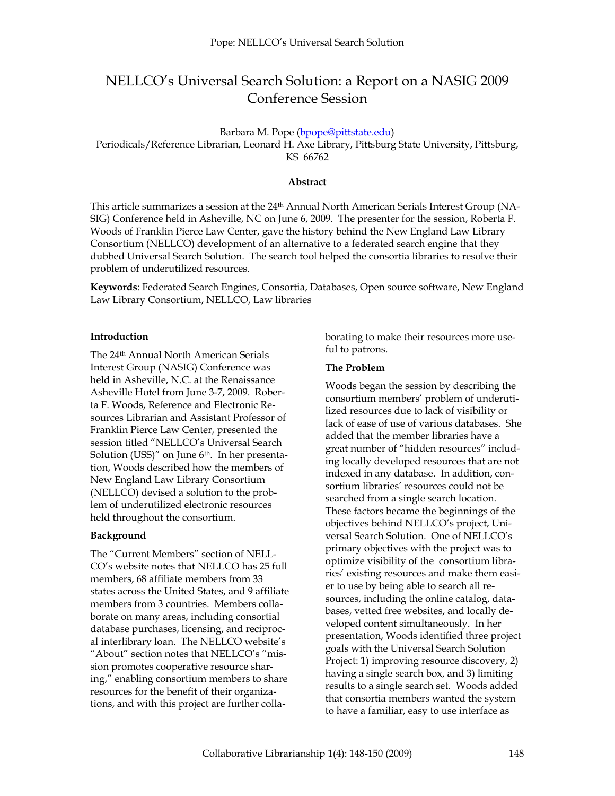# NELLCO's Universal Search Solution: a Report on a NASIG 2009 Conference Session

Barbara M. Pope ([bpope@pittstate.edu](mailto:bpope@pittstate.edu))

Periodicals/Reference Librarian, Leonard H. Axe Library, Pittsburg State University, Pittsburg, KS 66762

### **Abstract**

This article summarizes a session at the 24<sup>th</sup> Annual North American Serials Interest Group (NA-SIG) Conference held in Asheville, NC on June 6, 2009. The presenter for the session, Roberta F. Woods of Franklin Pierce Law Center, gave the history behind the New England Law Library Consortium (NELLCO) development of an alternative to a federated search engine that they dubbed Universal Search Solution. The search tool helped the consortia libraries to resolve their problem of underutilized resources.

**Keywords**: Federated Search Engines, Consortia, Databases, Open source software, New England Law Library Consortium, NELLCO, Law libraries

#### **Introduction**

The 24th Annual North American Serials Interest Group (NASIG) Conference was held in Asheville, N.C. at the Renaissance Asheville Hotel from June 3-7, 2009. Roberta F. Woods, Reference and Electronic Resources Librarian and Assistant Professor of Franklin Pierce Law Center, presented the session titled "NELLCO's Universal Search Solution (USS)" on June 6<sup>th</sup>. In her presentation, Woods described how the members of New England Law Library Consortium (NELLCO) devised a solution to the problem of underutilized electronic resources held throughout the consortium.

## **Background**

The "Current Members" section of NELL-CO's website notes that NELLCO has 25 full members, 68 affiliate members from 33 states across the United States, and 9 affiliate members from 3 countries. Members collaborate on many areas, including consortial database purchases, licensing, and reciprocal interlibrary loan. The NELLCO website's "About" section notes that NELLCO's "mission promotes cooperative resource sharing," enabling consortium members to share resources for the benefit of their organizations, and with this project are further collaborating to make their resources more useful to patrons.

## **The Problem**

Woods began the session by describing the consortium members' problem of underutilized resources due to lack of visibility or lack of ease of use of various databases. She added that the member libraries have a great number of "hidden resources" including locally developed resources that are not indexed in any database. In addition, consortium libraries' resources could not be searched from a single search location. These factors became the beginnings of the objectives behind NELLCO's project, Universal Search Solution. One of NELLCO's primary objectives with the project was to optimize visibility of the consortium libraries' existing resources and make them easier to use by being able to search all resources, including the online catalog, databases, vetted free websites, and locally developed content simultaneously. In her presentation, Woods identified three project goals with the Universal Search Solution Project: 1) improving resource discovery, 2) having a single search box, and 3) limiting results to a single search set. Woods added that consortia members wanted the system to have a familiar, easy to use interface as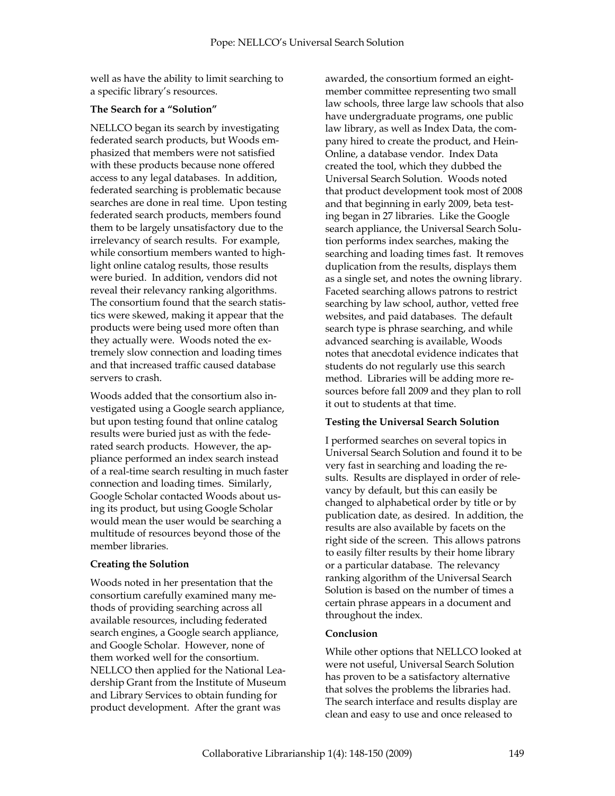well as have the ability to limit searching to a specific library's resources.

## **The Search for a "Solution"**

NELLCO began its search by investigating federated search products, but Woods emphasized that members were not satisfied with these products because none offered access to any legal databases. In addition, federated searching is problematic because searches are done in real time. Upon testing federated search products, members found them to be largely unsatisfactory due to the irrelevancy of search results. For example, while consortium members wanted to highlight online catalog results, those results were buried. In addition, vendors did not reveal their relevancy ranking algorithms. The consortium found that the search statistics were skewed, making it appear that the products were being used more often than they actually were. Woods noted the extremely slow connection and loading times and that increased traffic caused database servers to crash.

Woods added that the consortium also investigated using a Google search appliance, but upon testing found that online catalog results were buried just as with the federated search products. However, the appliance performed an index search instead of a real-time search resulting in much faster connection and loading times. Similarly, Google Scholar contacted Woods about using its product, but using Google Scholar would mean the user would be searching a multitude of resources beyond those of the member libraries.

# **Creating the Solution**

Woods noted in her presentation that the consortium carefully examined many methods of providing searching across all available resources, including federated search engines, a Google search appliance, and Google Scholar. However, none of them worked well for the consortium. NELLCO then applied for the National Leadership Grant from the Institute of Museum and Library Services to obtain funding for product development. After the grant was

awarded, the consortium formed an eightmember committee representing two small law schools, three large law schools that also have undergraduate programs, one public law library, as well as Index Data, the company hired to create the product, and Hein-Online, a database vendor. Index Data created the tool, which they dubbed the Universal Search Solution. Woods noted that product development took most of 2008 and that beginning in early 2009, beta testing began in 27 libraries. Like the Google search appliance, the Universal Search Solution performs index searches, making the searching and loading times fast. It removes duplication from the results, displays them as a single set, and notes the owning library. Faceted searching allows patrons to restrict searching by law school, author, vetted free websites, and paid databases. The default search type is phrase searching, and while advanced searching is available, Woods notes that anecdotal evidence indicates that students do not regularly use this search method. Libraries will be adding more resources before fall 2009 and they plan to roll it out to students at that time.

# **Testing the Universal Search Solution**

I performed searches on several topics in Universal Search Solution and found it to be very fast in searching and loading the results. Results are displayed in order of relevancy by default, but this can easily be changed to alphabetical order by title or by publication date, as desired. In addition, the results are also available by facets on the right side of the screen. This allows patrons to easily filter results by their home library or a particular database. The relevancy ranking algorithm of the Universal Search Solution is based on the number of times a certain phrase appears in a document and throughout the index.

# **Conclusion**

While other options that NELLCO looked at were not useful, Universal Search Solution has proven to be a satisfactory alternative that solves the problems the libraries had. The search interface and results display are clean and easy to use and once released to